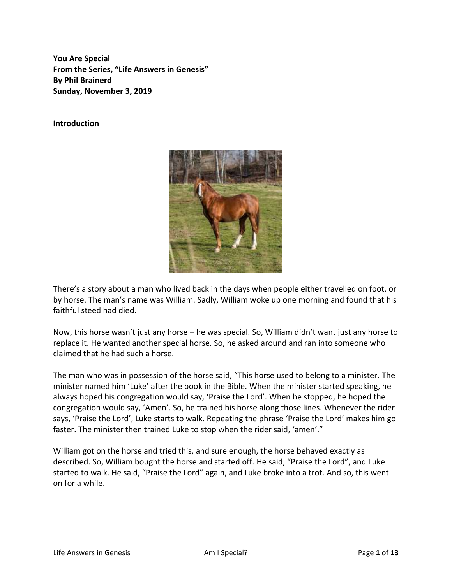**You Are Special From the Series, "Life Answers in Genesis" By Phil Brainerd Sunday, November 3, 2019**

**Introduction**



There's a story about a man who lived back in the days when people either travelled on foot, or by horse. The man's name was William. Sadly, William woke up one morning and found that his faithful steed had died.

Now, this horse wasn't just any horse – he was special. So, William didn't want just any horse to replace it. He wanted another special horse. So, he asked around and ran into someone who claimed that he had such a horse.

The man who was in possession of the horse said, "This horse used to belong to a minister. The minister named him 'Luke' after the book in the Bible. When the minister started speaking, he always hoped his congregation would say, 'Praise the Lord'. When he stopped, he hoped the congregation would say, 'Amen'. So, he trained his horse along those lines. Whenever the rider says, 'Praise the Lord', Luke starts to walk. Repeating the phrase 'Praise the Lord' makes him go faster. The minister then trained Luke to stop when the rider said, 'amen'."

William got on the horse and tried this, and sure enough, the horse behaved exactly as described. So, William bought the horse and started off. He said, "Praise the Lord", and Luke started to walk. He said, "Praise the Lord" again, and Luke broke into a trot. And so, this went on for a while.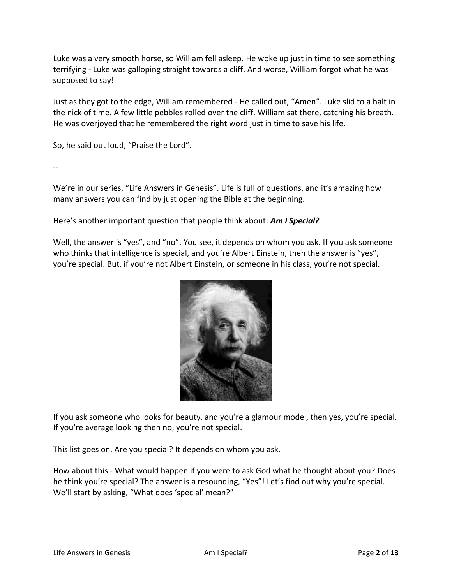Luke was a very smooth horse, so William fell asleep. He woke up just in time to see something terrifying - Luke was galloping straight towards a cliff. And worse, William forgot what he was supposed to say!

Just as they got to the edge, William remembered - He called out, "Amen". Luke slid to a halt in the nick of time. A few little pebbles rolled over the cliff. William sat there, catching his breath. He was overjoyed that he remembered the right word just in time to save his life.

So, he said out loud, "Praise the Lord".

--

We're in our series, "Life Answers in Genesis". Life is full of questions, and it's amazing how many answers you can find by just opening the Bible at the beginning.

Here's another important question that people think about: *Am I Special?*

Well, the answer is "yes", and "no". You see, it depends on whom you ask. If you ask someone who thinks that intelligence is special, and you're Albert Einstein, then the answer is "yes", you're special. But, if you're not Albert Einstein, or someone in his class, you're not special.



If you ask someone who looks for beauty, and you're a glamour model, then yes, you're special. If you're average looking then no, you're not special.

This list goes on. Are you special? It depends on whom you ask.

How about this - What would happen if you were to ask God what he thought about you? Does he think you're special? The answer is a resounding, "Yes"! Let's find out why you're special. We'll start by asking, "What does 'special' mean?"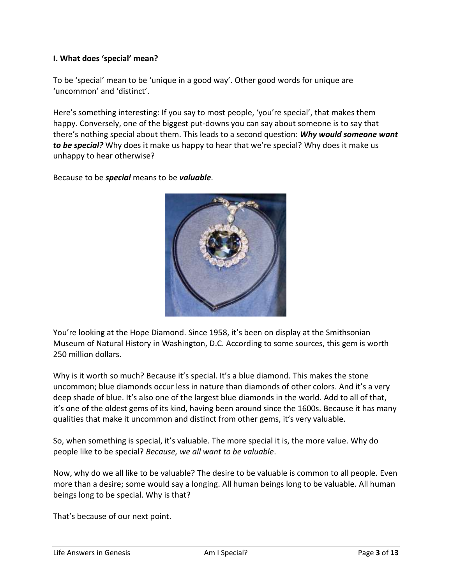### **I. What does 'special' mean?**

To be 'special' mean to be 'unique in a good way'. Other good words for unique are 'uncommon' and 'distinct'.

Here's something interesting: If you say to most people, 'you're special', that makes them happy. Conversely, one of the biggest put-downs you can say about someone is to say that there's nothing special about them. This leads to a second question: *Why would someone want to be special?* Why does it make us happy to hear that we're special? Why does it make us unhappy to hear otherwise?

Because to be *special* means to be *valuable*.



You're looking at the Hope Diamond. Since 1958, it's been on display at the Smithsonian Museum of Natural History in Washington, D.C. According to some sources, this gem is worth 250 million dollars.

Why is it worth so much? Because it's special. It's a blue diamond. This makes the stone uncommon; blue diamonds occur less in nature than diamonds of other colors. And it's a very deep shade of blue. It's also one of the largest blue diamonds in the world. Add to all of that, it's one of the oldest gems of its kind, having been around since the 1600s. Because it has many qualities that make it uncommon and distinct from other gems, it's very valuable.

So, when something is special, it's valuable. The more special it is, the more value. Why do people like to be special? *Because, we all want to be valuable*.

Now, why do we all like to be valuable? The desire to be valuable is common to all people. Even more than a desire; some would say a longing. All human beings long to be valuable. All human beings long to be special. Why is that?

That's because of our next point.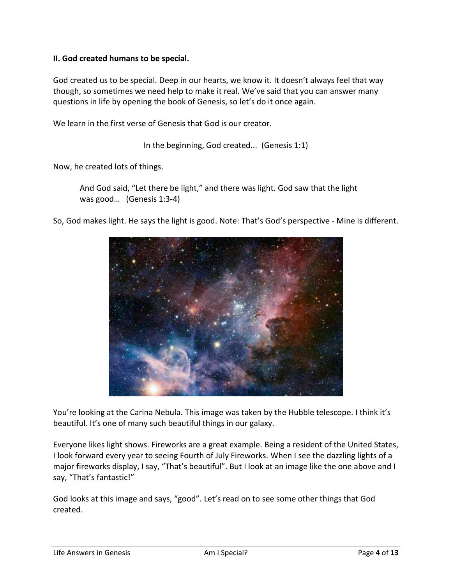# **II. God created humans to be special.**

God created us to be special. Deep in our hearts, we know it. It doesn't always feel that way though, so sometimes we need help to make it real. We've said that you can answer many questions in life by opening the book of Genesis, so let's do it once again.

We learn in the first verse of Genesis that God is our creator.

```
In the beginning, God created... (Genesis 1:1)
```
Now, he created lots of things.

And God said, "Let there be light," and there was light. God saw that the light was good… (Genesis 1:3-4)

So, God makes light. He says the light is good. Note: That's God's perspective - Mine is different.



You're looking at the Carina Nebula. This image was taken by the Hubble telescope. I think it's beautiful. It's one of many such beautiful things in our galaxy.

Everyone likes light shows. Fireworks are a great example. Being a resident of the United States, I look forward every year to seeing Fourth of July Fireworks. When I see the dazzling lights of a major fireworks display, I say, "That's beautiful". But I look at an image like the one above and I say, "That's fantastic!"

God looks at this image and says, "good". Let's read on to see some other things that God created.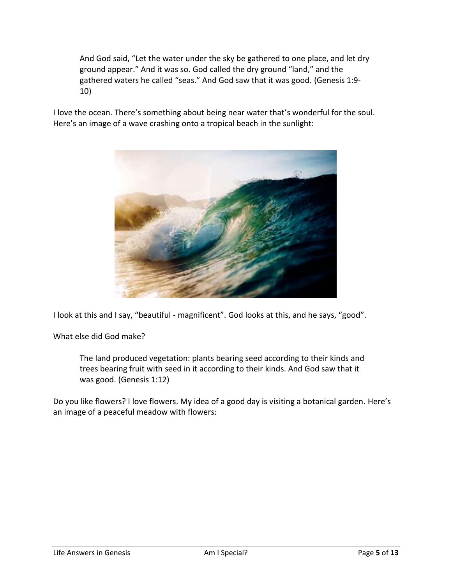And God said, "Let the water under the sky be gathered to one place, and let dry ground appear." And it was so. God called the dry ground "land," and the gathered waters he called "seas." And God saw that it was good. (Genesis 1:9- 10)

I love the ocean. There's something about being near water that's wonderful for the soul. Here's an image of a wave crashing onto a tropical beach in the sunlight:



I look at this and I say, "beautiful - magnificent". God looks at this, and he says, "good".

What else did God make?

The land produced vegetation: plants bearing seed according to their kinds and trees bearing fruit with seed in it according to their kinds. And God saw that it was good. (Genesis 1:12)

Do you like flowers? I love flowers. My idea of a good day is visiting a botanical garden. Here's an image of a peaceful meadow with flowers: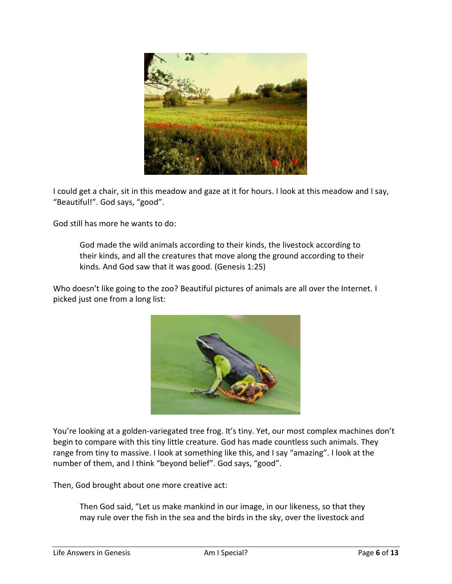

I could get a chair, sit in this meadow and gaze at it for hours. I look at this meadow and I say, "Beautiful!". God says, "good".

God still has more he wants to do:

God made the wild animals according to their kinds, the livestock according to their kinds, and all the creatures that move along the ground according to their kinds. And God saw that it was good. (Genesis 1:25)

Who doesn't like going to the zoo? Beautiful pictures of animals are all over the Internet. I picked just one from a long list:



You're looking at a golden-variegated tree frog. It's tiny. Yet, our most complex machines don't begin to compare with this tiny little creature. God has made countless such animals. They range from tiny to massive. I look at something like this, and I say "amazing". I look at the number of them, and I think "beyond belief". God says, "good".

Then, God brought about one more creative act:

Then God said, "Let us make mankind in our image, in our likeness, so that they may rule over the fish in the sea and the birds in the sky, over the livestock and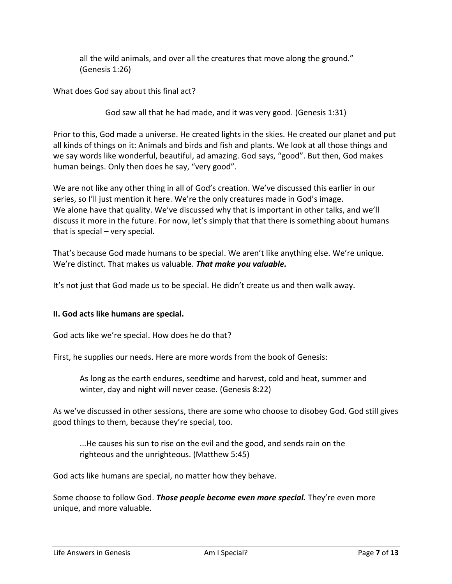all the wild animals, and over all the creatures that move along the ground." (Genesis 1:26)

What does God say about this final act?

God saw all that he had made, and it was very good. (Genesis 1:31)

Prior to this, God made a universe. He created lights in the skies. He created our planet and put all kinds of things on it: Animals and birds and fish and plants. We look at all those things and we say words like wonderful, beautiful, ad amazing. God says, "good". But then, God makes human beings. Only then does he say, "very good".

We are not like any other thing in all of God's creation. We've discussed this earlier in our series, so I'll just mention it here. We're the only creatures made in God's image. We alone have that quality. We've discussed why that is important in other talks, and we'll discuss it more in the future. For now, let's simply that that there is something about humans that is special – very special.

That's because God made humans to be special. We aren't like anything else. We're unique. We're distinct. That makes us valuable. *That make you valuable.*

It's not just that God made us to be special. He didn't create us and then walk away.

### **II. God acts like humans are special.**

God acts like we're special. How does he do that?

First, he supplies our needs. Here are more words from the book of Genesis:

As long as the earth endures, seedtime and harvest, cold and heat, summer and winter, day and night will never cease. (Genesis 8:22)

As we've discussed in other sessions, there are some who choose to disobey God. God still gives good things to them, because they're special, too.

...He causes his sun to rise on the evil and the good, and sends rain on the righteous and the unrighteous. (Matthew 5:45)

God acts like humans are special, no matter how they behave.

Some choose to follow God. *Those people become even more special.* They're even more unique, and more valuable.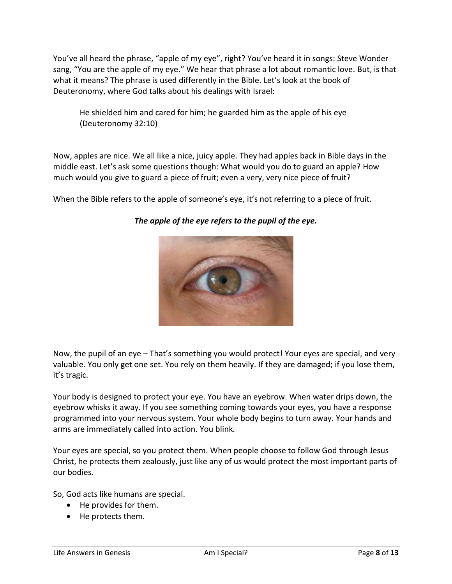You've all heard the phrase, "apple of my eye", right? You've heard it in songs: Steve Wonder sang, "You are the apple of my eye." We hear that phrase a lot about romantic love. But, is that what it means? The phrase is used differently in the Bible. Let's look at the book of Deuteronomy, where God talks about his dealings with Israel:

He shielded him and cared for him; he guarded him as the apple of his eye (Deuteronomy 32:10)

Now, apples are nice. We all like a nice, juicy apple. They had apples back in Bible days in the middle east. Let's ask some questions though: What would you do to guard an apple? How much would you give to guard a piece of fruit; even a very, very nice piece of fruit?

When the Bible refers to the apple of someone's eye, it's not referring to a piece of fruit.



# *The apple of the eye refers to the pupil of the eye.*

Now, the pupil of an eye – That's something you would protect! Your eyes are special, and very valuable. You only get one set. You rely on them heavily. If they are damaged; if you lose them, it's tragic.

Your body is designed to protect your eye. You have an eyebrow. When water drips down, the eyebrow whisks it away. If you see something coming towards your eyes, you have a response programmed into your nervous system. Your whole body begins to turn away. Your hands and arms are immediately called into action. You blink.

Your eyes are special, so you protect them. When people choose to follow God through Jesus Christ, he protects them zealously, just like any of us would protect the most important parts of our bodies.

So, God acts like humans are special.

- He provides for them.
- He protects them.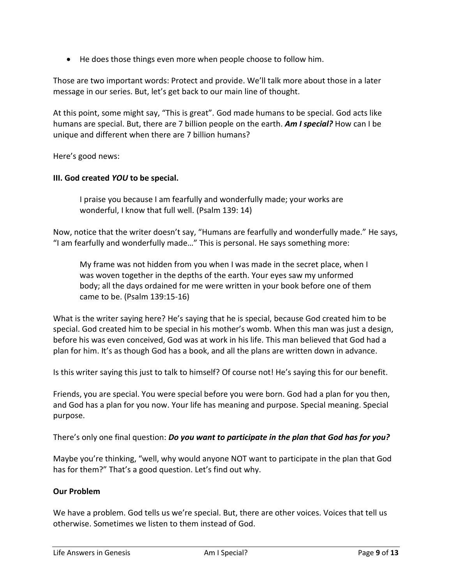• He does those things even more when people choose to follow him.

Those are two important words: Protect and provide. We'll talk more about those in a later message in our series. But, let's get back to our main line of thought.

At this point, some might say, "This is great". God made humans to be special. God acts like humans are special. But, there are 7 billion people on the earth. *Am I special?* How can I be unique and different when there are 7 billion humans?

Here's good news:

# **III. God created** *YOU* **to be special.**

I praise you because I am fearfully and wonderfully made; your works are wonderful, I know that full well. (Psalm 139: 14)

Now, notice that the writer doesn't say, "Humans are fearfully and wonderfully made." He says, "I am fearfully and wonderfully made…" This is personal. He says something more:

My frame was not hidden from you when I was made in the secret place, when I was woven together in the depths of the earth. Your eyes saw my unformed body; all the days ordained for me were written in your book before one of them came to be. (Psalm 139:15-16)

What is the writer saying here? He's saying that he is special, because God created him to be special. God created him to be special in his mother's womb. When this man was just a design, before his was even conceived, God was at work in his life. This man believed that God had a plan for him. It's as though God has a book, and all the plans are written down in advance.

Is this writer saying this just to talk to himself? Of course not! He's saying this for our benefit.

Friends, you are special. You were special before you were born. God had a plan for you then, and God has a plan for you now. Your life has meaning and purpose. Special meaning. Special purpose.

There's only one final question: *Do you want to participate in the plan that God has for you?*

Maybe you're thinking, "well, why would anyone NOT want to participate in the plan that God has for them?" That's a good question. Let's find out why.

### **Our Problem**

We have a problem. God tells us we're special. But, there are other voices. Voices that tell us otherwise. Sometimes we listen to them instead of God.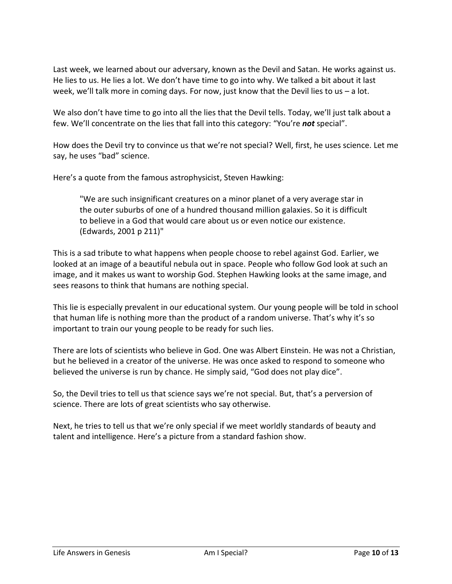Last week, we learned about our adversary, known as the Devil and Satan. He works against us. He lies to us. He lies a lot. We don't have time to go into why. We talked a bit about it last week, we'll talk more in coming days. For now, just know that the Devil lies to us – a lot.

We also don't have time to go into all the lies that the Devil tells. Today, we'll just talk about a few. We'll concentrate on the lies that fall into this category: "You're *not* special".

How does the Devil try to convince us that we're not special? Well, first, he uses science. Let me say, he uses "bad" science.

Here's a quote from the famous astrophysicist, Steven Hawking:

"We are such insignificant creatures on a minor planet of a very average star in the outer suburbs of one of a hundred thousand million galaxies. So it is difficult to believe in a God that would care about us or even notice our existence. (Edwards, 2001 p 211)"

This is a sad tribute to what happens when people choose to rebel against God. Earlier, we looked at an image of a beautiful nebula out in space. People who follow God look at such an image, and it makes us want to worship God. Stephen Hawking looks at the same image, and sees reasons to think that humans are nothing special.

This lie is especially prevalent in our educational system. Our young people will be told in school that human life is nothing more than the product of a random universe. That's why it's so important to train our young people to be ready for such lies.

There are lots of scientists who believe in God. One was Albert Einstein. He was not a Christian, but he believed in a creator of the universe. He was once asked to respond to someone who believed the universe is run by chance. He simply said, "God does not play dice".

So, the Devil tries to tell us that science says we're not special. But, that's a perversion of science. There are lots of great scientists who say otherwise.

Next, he tries to tell us that we're only special if we meet worldly standards of beauty and talent and intelligence. Here's a picture from a standard fashion show.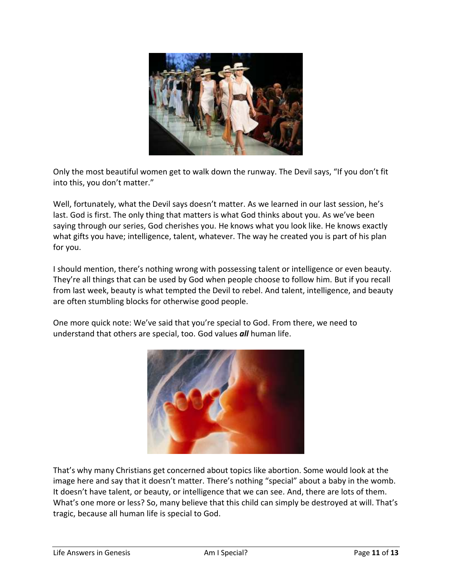

Only the most beautiful women get to walk down the runway. The Devil says, "If you don't fit into this, you don't matter."

Well, fortunately, what the Devil says doesn't matter. As we learned in our last session, he's last. God is first. The only thing that matters is what God thinks about you. As we've been saying through our series, God cherishes you. He knows what you look like. He knows exactly what gifts you have; intelligence, talent, whatever. The way he created you is part of his plan for you.

I should mention, there's nothing wrong with possessing talent or intelligence or even beauty. They're all things that can be used by God when people choose to follow him. But if you recall from last week, beauty is what tempted the Devil to rebel. And talent, intelligence, and beauty are often stumbling blocks for otherwise good people.

One more quick note: We've said that you're special to God. From there, we need to understand that others are special, too. God values *all* human life.



That's why many Christians get concerned about topics like abortion. Some would look at the image here and say that it doesn't matter. There's nothing "special" about a baby in the womb. It doesn't have talent, or beauty, or intelligence that we can see. And, there are lots of them. What's one more or less? So, many believe that this child can simply be destroyed at will. That's tragic, because all human life is special to God.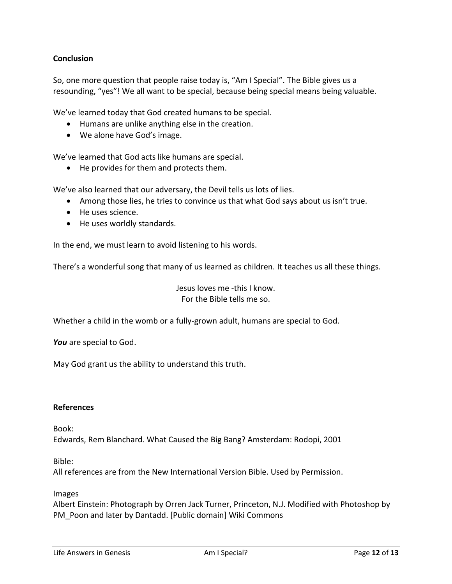# **Conclusion**

So, one more question that people raise today is, "Am I Special". The Bible gives us a resounding, "yes"! We all want to be special, because being special means being valuable.

We've learned today that God created humans to be special.

- Humans are unlike anything else in the creation.
- We alone have God's image.

We've learned that God acts like humans are special.

• He provides for them and protects them.

We've also learned that our adversary, the Devil tells us lots of lies.

- Among those lies, he tries to convince us that what God says about us isn't true.
- He uses science.
- He uses worldly standards.

In the end, we must learn to avoid listening to his words.

There's a wonderful song that many of us learned as children. It teaches us all these things.

Jesus loves me -this I know. For the Bible tells me so.

Whether a child in the womb or a fully-grown adult, humans are special to God.

*You* are special to God.

May God grant us the ability to understand this truth.

#### **References**

Book:

Edwards, Rem Blanchard. What Caused the Big Bang? Amsterdam: Rodopi, 2001

Bible:

All references are from the New International Version Bible. Used by Permission.

Images

Albert Einstein: Photograph by Orren Jack Turner, Princeton, N.J. Modified with Photoshop by PM Poon and later by Dantadd. [Public domain] Wiki Commons